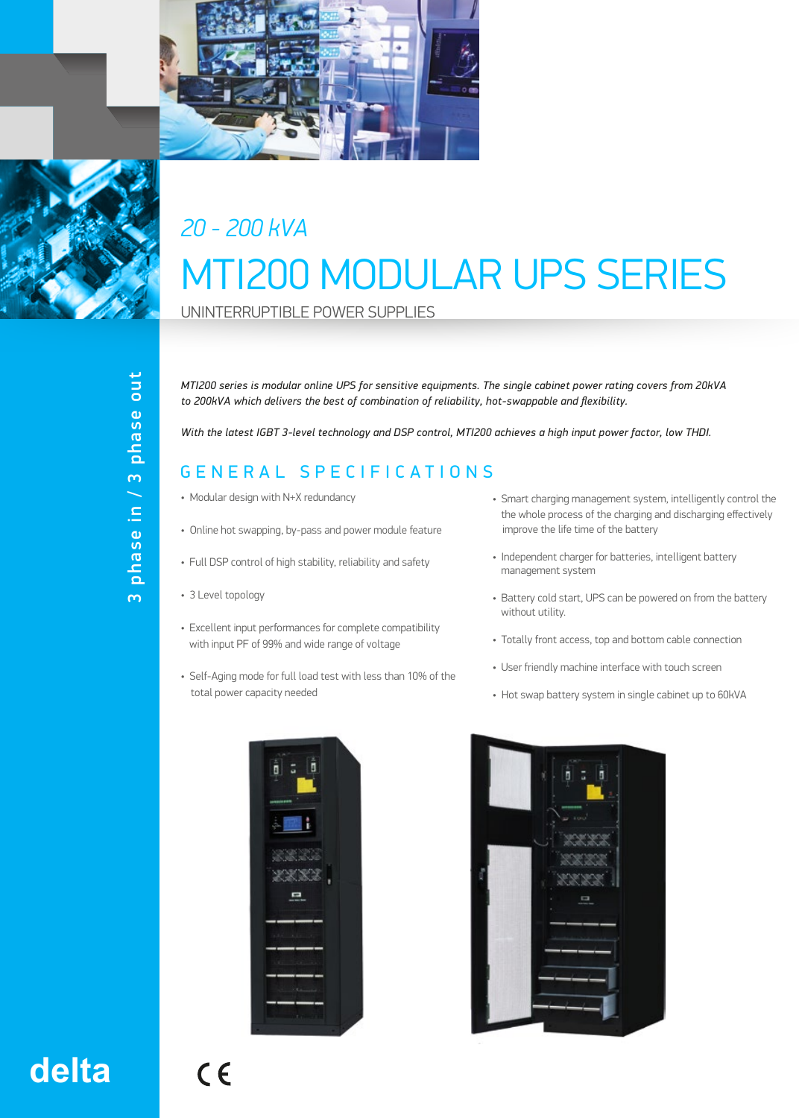



## *20 - 200 kVA* MTI200 MODULAR UPS SERIES

UNINTERRUPTIBLE POWER SUPPLIES

*MTI200 series is modular online UPS for sensitive equipments. The single cabinet power rating covers from 20kVA to 200kVA which delivers the best of combination of reliability, hot-swappable and flexibility.* 

*With the latest IGBT 3-level technology and DSP control, MTI200 achieves a high input power factor, low THDI.*

## GENERAL SPECIFICATIONS

- Modular design with N+X redundancy
- Online hot swapping, by-pass and power module feature
- Full DSP control of high stability, reliability and safety
- 3 Level topology
- Excellent input performances for complete compatibility with input PF of 99% and wide range of voltage
- Self-Aging mode for full load test with less than 10% of the total power capacity needed
- Smart charging management system, intelligently control the the whole process of the charging and discharging effectively improve the life time of the battery
- Independent charger for batteries, intelligent battery management system
- Battery cold start, UPS can be powered on from the battery without utility.
- Totally front access, top and bottom cable connection
- User friendly machine interface with touch screen
- Hot swap battery system in single cabinet up to 60kVA





## **delta**